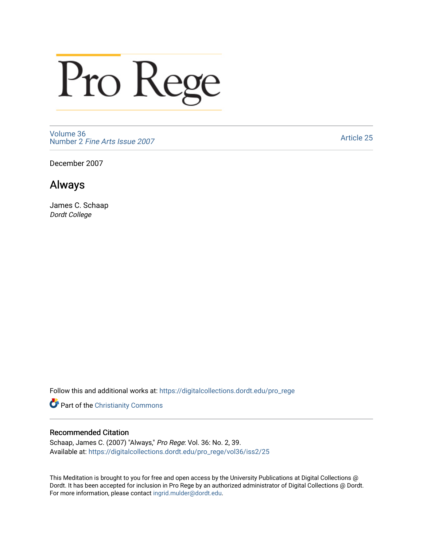# Pro Rege

[Volume 36](https://digitalcollections.dordt.edu/pro_rege/vol36) Number 2 [Fine Arts Issue 2007](https://digitalcollections.dordt.edu/pro_rege/vol36/iss2) 

[Article 25](https://digitalcollections.dordt.edu/pro_rege/vol36/iss2/25) 

December 2007

### Always

James C. Schaap Dordt College

Follow this and additional works at: [https://digitalcollections.dordt.edu/pro\\_rege](https://digitalcollections.dordt.edu/pro_rege?utm_source=digitalcollections.dordt.edu%2Fpro_rege%2Fvol36%2Fiss2%2F25&utm_medium=PDF&utm_campaign=PDFCoverPages) 

**Part of the Christianity Commons** 

#### Recommended Citation

Schaap, James C. (2007) "Always," Pro Rege: Vol. 36: No. 2, 39. Available at: [https://digitalcollections.dordt.edu/pro\\_rege/vol36/iss2/25](https://digitalcollections.dordt.edu/pro_rege/vol36/iss2/25?utm_source=digitalcollections.dordt.edu%2Fpro_rege%2Fvol36%2Fiss2%2F25&utm_medium=PDF&utm_campaign=PDFCoverPages)

This Meditation is brought to you for free and open access by the University Publications at Digital Collections @ Dordt. It has been accepted for inclusion in Pro Rege by an authorized administrator of Digital Collections @ Dordt. For more information, please contact [ingrid.mulder@dordt.edu](mailto:ingrid.mulder@dordt.edu).